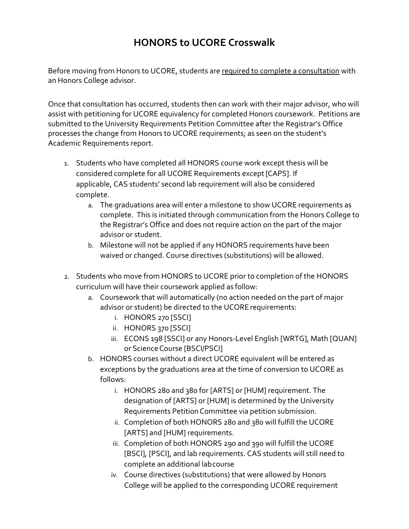## **HONORS to UCORE Crosswalk**

Before moving from Honors to UCORE, students are required to complete a consultation with an Honors College advisor.

Once that consultation has occurred, students then can work with their major advisor, who will assist with petitioning for UCORE equivalency for completed Honors coursework. Petitions are submitted to the University Requirements Petition Committee after the Registrar's Office processes the change from Honors to UCORE requirements; as seen on the student's Academic Requirements report.

- 1. Students who have completed all HONORS course work except thesis will be considered complete for all UCORE Requirements except [CAPS]. If applicable, CAS students' second lab requirement will also be considered complete.
	- a. The graduations area will enter a milestone to show UCORE requirements as complete. This is initiated through communication from the Honors College to the Registrar's Office and does not require action on the part of the major advisor or student.
	- b. Milestone will not be applied if any HONORS requirements have been waived or changed. Course directives (substitutions) will be allowed.
- 2. Students who move from HONORS to UCORE prior to completion of the HONORS curriculum will have their coursework applied as follow:
	- a. Coursework that will automatically (no action needed on the part of major advisor or student) be directed to the UCORE requirements:
		- i. HONORS 270 [SSCI]
		- ii. HONORS 370 [SSCI]
		- iii. ECONS 198 [SSCI] or any Honors-Level English [WRTG], Math [QUAN] or Science Course [BSCI/PSCI]
	- b. HONORS courses without a direct UCORE equivalent will be entered as exceptions by the graduations area at the time of conversion to UCORE as follows:
		- i. HONORS 280 and 380 for [ARTS] or [HUM] requirement. The designation of [ARTS] or [HUM] is determined by the University Requirements PetitionCommittee via petition submission.
		- ii. Completion of both HONORS 280 and 380 will fulfill the UCORE [ARTS] and [HUM] requirements.
		- iii. Completion of both HONORS 290 and 390 will fulfill the UCORE [BSCI], [PSCI], and lab requirements. CAS students will still need to complete an additional labcourse
		- iv. Course directives (substitutions) that were allowed by Honors College will be applied to the corresponding UCORE requirement